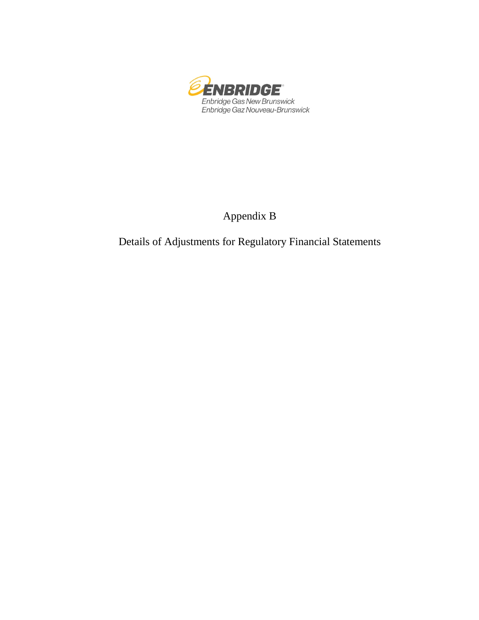

Appendix B

Details of Adjustments for Regulatory Financial Statements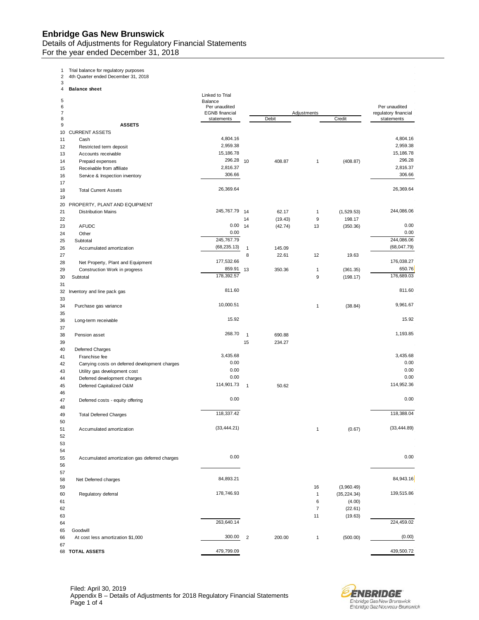## **Enbridge Gas New Brunswick**

Details of Adjustments for Regulatory Financial Statements For the year ended December 31, 2018

1 Trial balance for regulatory purposes 2 4th Quarter ended December 31, 2018

3 4 **Balance sheet**

|        |                                                | Linked to Trial          |              |         |                         |              |                      |
|--------|------------------------------------------------|--------------------------|--------------|---------|-------------------------|--------------|----------------------|
| 5<br>6 |                                                | Balance<br>Per unaudited |              |         |                         |              | Per unaudited        |
| 7      |                                                | <b>EGNB</b> financial    |              |         | Adjustments             |              | regulatory financial |
| 8      |                                                | statements               |              | Debit   |                         | Credit       | statements           |
| 9      | <b>ASSETS</b>                                  |                          |              |         |                         |              |                      |
| 10     | <b>CURRENT ASSETS</b>                          |                          |              |         |                         |              |                      |
| 11     | Cash                                           | 4,804.16                 |              |         |                         |              | 4,804.16             |
| 12     | Restricted term deposit                        | 2,959.38                 |              |         |                         |              | 2,959.38             |
| 13     | Accounts receivable                            | 15,186.78                |              |         |                         |              | 15,186.78            |
| 14     | Prepaid expenses                               | 296.28                   | 10           | 408.87  | 1                       | (408.87)     | 296.28               |
| 15     | Receivable from affiliate                      | 2,816.37                 |              |         |                         |              | 2,816.37             |
| 16     | Service & Inspection inventory                 | 306.66                   |              |         |                         |              | 306.66               |
| 17     |                                                |                          |              |         |                         |              |                      |
| 18     | <b>Total Current Assets</b>                    | 26,369.64                |              |         |                         |              | 26,369.64            |
| 19     |                                                |                          |              |         |                         |              |                      |
| 20     | PROPERTY, PLANT AND EQUIPMENT                  |                          |              |         |                         |              |                      |
| 21     | <b>Distribution Mains</b>                      | 245,767.79               | 14           | 62.17   | 1                       | (1,529.53)   | 244,086.06           |
| 22     |                                                |                          | 14           | (19.43) | 9                       | 198.17       |                      |
| 23     | <b>AFUDC</b>                                   | 0.00                     | 14           | (42.74) | 13                      | (350.36)     | 0.00                 |
| 24     | Other                                          | 0.00                     |              |         |                         |              | 0.00                 |
| 25     | Subtotal                                       | 245,767.79               |              |         |                         |              | 244,086.06           |
| 26     | Accumulated amortization                       | (68, 235.13)             | $\mathbf{1}$ | 145.09  |                         |              | (68, 047.79)         |
| 27     |                                                |                          | 8            | 22.61   | 12                      | 19.63        |                      |
| 28     | Net Property, Plant and Equipment              | 177,532.66               |              |         |                         |              | 176,038.27           |
| 29     | Construction Work in progress                  | 859.91                   | 13           | 350.36  | $\mathbf{1}$            | (361.35)     | 650.76               |
| 30     | Subtotal                                       | 178,392.57               |              |         | 9                       | (198.17)     | 176,689.03           |
| 31     |                                                |                          |              |         |                         |              |                      |
| 32     |                                                | 811.60                   |              |         |                         |              | 811.60               |
|        | Inventory and line pack gas                    |                          |              |         |                         |              |                      |
| 33     |                                                | 10,000.51                |              |         |                         | (38.84)      | 9,961.67             |
| 34     | Purchase gas variance                          |                          |              |         | 1                       |              |                      |
| 35     |                                                | 15.92                    |              |         |                         |              | 15.92                |
| 36     | Long-term receivable                           |                          |              |         |                         |              |                      |
| 37     |                                                |                          |              |         |                         |              |                      |
| 38     | Pension asset                                  | 268.70                   | $\mathbf{1}$ | 690.88  |                         |              | 1,193.85             |
| 39     |                                                |                          | 15           | 234.27  |                         |              |                      |
| 40     | <b>Deferred Charges</b>                        |                          |              |         |                         |              |                      |
| 41     | Franchise fee                                  | 3,435.68                 |              |         |                         |              | 3,435.68             |
| 42     | Carrying costs on deferred development charges | 0.00                     |              |         |                         |              | 0.00                 |
| 43     | Utility gas development cost                   | 0.00                     |              |         |                         |              | 0.00                 |
| 44     | Deferred development charges                   | 0.00                     |              |         |                         |              | 0.00                 |
| 45     | Deferred Capitalized O&M                       | 114,901.73               | $\mathbf{1}$ | 50.62   |                         |              | 114,952.36           |
| 46     |                                                |                          |              |         |                         |              |                      |
| 47     | Deferred costs - equity offering               | 0.00                     |              |         |                         |              | 0.00                 |
| 48     |                                                |                          |              |         |                         |              |                      |
| 49     | <b>Total Deferred Charges</b>                  | 118,337.42               |              |         |                         |              | 118,388.04           |
| 50     |                                                |                          |              |         |                         |              |                      |
| 51     | Accumulated amortization                       | (33, 444.21)             |              |         | 1                       | (0.67)       | (33, 444.89)         |
| 52     |                                                |                          |              |         |                         |              |                      |
| 53     |                                                |                          |              |         |                         |              |                      |
| 54     |                                                |                          |              |         |                         |              |                      |
| 55     | Accumulated amortization gas deferred charges  | 0.00                     |              |         |                         |              | 0.00                 |
| 56     |                                                |                          |              |         |                         |              |                      |
| 57     |                                                |                          |              |         |                         |              |                      |
| 58     | Net Deferred charges                           | 84,893.21                |              |         |                         |              | 84,943.16            |
| 59     |                                                |                          |              |         | 16                      | (3,960.49)   |                      |
| 60     | Regulatory deferral                            | 178,746.93               |              |         | $\mathbf{1}$            | (35, 224.34) | 139,515.86           |
| 61     |                                                |                          |              |         | 6                       | (4.00)       |                      |
| 62     |                                                |                          |              |         | $\overline{\mathbf{7}}$ | (22.61)      |                      |
| 63     |                                                |                          |              |         | 11                      | (19.63)      |                      |
| 64     |                                                | 263,640.14               |              |         |                         |              | 224,459.02           |
|        | Goodwill                                       |                          |              |         |                         |              |                      |
| 65     | At cost less amortization \$1,000              | 300.00                   | $\sqrt{2}$   | 200.00  |                         | (500.00)     | (0.00)               |
| 66     |                                                |                          |              |         | 1                       |              |                      |
| 67     | 68 TOTAL ASSETS                                | 479,799.09               |              |         |                         |              | 439,500.72           |
|        |                                                |                          |              |         |                         |              |                      |

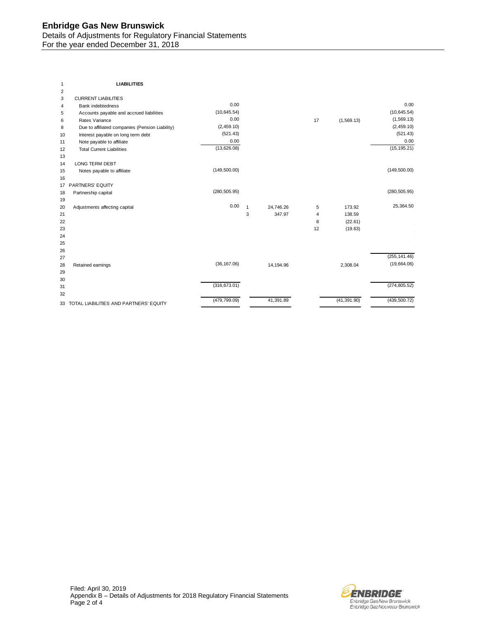## **Enbridge Gas New Brunswick**  Details of Adjustments for Regulatory Financial Statements For the year ended December 31, 2018

| 1              | <b>LIABILITIES</b>                              |               |              |           |    |              |               |
|----------------|-------------------------------------------------|---------------|--------------|-----------|----|--------------|---------------|
| $\overline{c}$ |                                                 |               |              |           |    |              |               |
| 3              | <b>CURRENT LIABILITIES</b>                      |               |              |           |    |              |               |
| 4              | <b>Bank indebtedness</b>                        | 0.00          |              |           |    |              | 0.00          |
| 5              | Accounts payable and accrued liabilities        | (10, 645.54)  |              |           |    |              | (10, 645.54)  |
| 6              | Rates Variance                                  | 0.00          |              |           | 17 | (1,569.13)   | (1,569.13)    |
| 8              | Due to affiliated companies (Pension Liability) | (2,459.10)    |              |           |    |              | (2,459.10)    |
| 10             | Interest payable on long term debt              | (521.43)      |              |           |    |              | (521.43)      |
| 11             | Note payable to affiliate                       | 0.00          |              |           |    |              | 0.00          |
| 12             | <b>Total Current Liabilities</b>                | (13,626.08)   |              |           |    |              | (15, 195.21)  |
| 13             |                                                 |               |              |           |    |              |               |
| 14             | LONG TERM DEBT                                  |               |              |           |    |              |               |
| 15             | Notes payable to affiliate                      | (149, 500.00) |              |           |    |              | (149, 500.00) |
| 16             |                                                 |               |              |           |    |              |               |
| 17             | PARTNERS' EQUITY                                |               |              |           |    |              |               |
| 18             | Partnership capital                             | (280, 505.95) |              |           |    |              | (280, 505.95) |
| 19             |                                                 |               |              |           |    |              |               |
| 20             | Adjustments affecting capital                   | 0.00          | $\mathbf{1}$ | 24.746.26 | 5  | 173.92       | 25,364.50     |
| 21             |                                                 |               | 3            | 347.97    | 4  | 138.59       |               |
| 22             |                                                 |               |              |           | 8  | (22.61)      |               |
| 23             |                                                 |               |              |           | 12 | (19.63)      |               |
| 24             |                                                 |               |              |           |    |              |               |
| 25             |                                                 |               |              |           |    |              |               |
| 26             |                                                 |               |              |           |    |              |               |
| 27             |                                                 |               |              |           |    |              | (255, 141.46) |
| 28             | Retained earnings                               | (36, 167.06)  |              | 14,194.96 |    | 2,308.04     | (19,664.06)   |
| 29             |                                                 |               |              |           |    |              |               |
| 30             |                                                 |               |              |           |    |              |               |
| 31             |                                                 | (316, 673.01) |              |           |    |              | (274, 805.52) |
| 32             |                                                 |               |              |           |    |              |               |
| 33             | TOTAL LIABILITIES AND PARTNERS' EQUITY          | (479, 799.09) |              | 41,391.89 |    | (41, 391.90) | (439, 500.72) |
|                |                                                 |               |              |           |    |              |               |

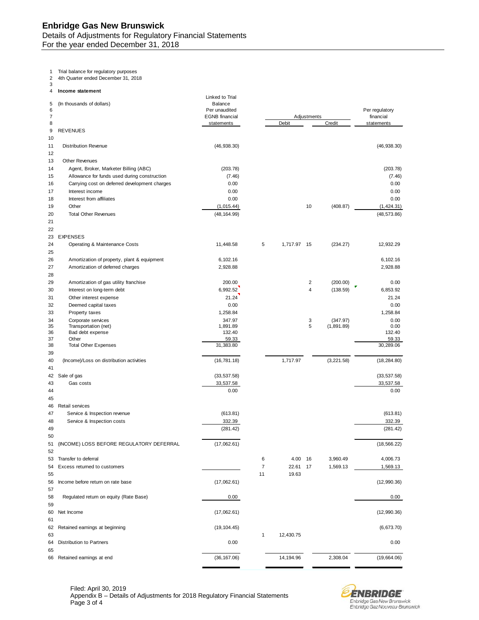1 Trial balance for regulatory purposes

2 4th Quarter ended December 31, 2018

3 4 **Income statement**

| 5<br>6         | (In thousands of dollars)                            | Linked to Trial<br><b>Balance</b><br>Per unaudited |                |             |             |                      | Per regulatory          |
|----------------|------------------------------------------------------|----------------------------------------------------|----------------|-------------|-------------|----------------------|-------------------------|
| 7<br>8         |                                                      | <b>EGNB</b> financial<br>statements                |                | Debit       | Adjustments | Credit               | financial<br>statements |
| 9              | <b>REVENUES</b>                                      |                                                    |                |             |             |                      |                         |
| 10<br>11<br>12 | <b>Distribution Revenue</b>                          | (46, 938.30)                                       |                |             |             |                      | (46, 938.30)            |
| 13             | <b>Other Revenues</b>                                |                                                    |                |             |             |                      |                         |
| 14             | Agent, Broker, Marketer Billing (ABC)                | (203.78)                                           |                |             |             |                      | (203.78)                |
| 15             | Allowance for funds used during construction         | (7.46)                                             |                |             |             |                      | (7.46)                  |
| 16             | Carrying cost on deferred development charges        | 0.00                                               |                |             |             |                      | 0.00                    |
| 17             | Interest income                                      | 0.00                                               |                |             |             |                      | 0.00                    |
| 18             | Interest from affiliates                             | 0.00                                               |                |             |             |                      | 0.00                    |
| 19             | Other                                                | (1,015.44)                                         |                |             | 10          | (408.87)             | (1,424.31)              |
| 20             | <b>Total Other Revenues</b>                          | (48, 164.99)                                       |                |             |             |                      | (48, 573.86)            |
| 21             |                                                      |                                                    |                |             |             |                      |                         |
| 22             |                                                      |                                                    |                |             |             |                      |                         |
| 23             | <b>EXPENSES</b>                                      |                                                    |                |             |             |                      |                         |
| 24<br>25       | Operating & Maintenance Costs                        | 11,448.58                                          | 5              | 1,717.97 15 |             | (234.27)             | 12,932.29               |
| 26             | Amortization of property, plant & equipment          | 6,102.16                                           |                |             |             |                      | 6,102.16                |
| 27             | Amortization of deferred charges                     | 2,928.88                                           |                |             |             |                      | 2,928.88                |
| 28             |                                                      |                                                    |                |             |             |                      |                         |
| 29             | Amortization of gas utility franchise                | 200.00<br>6,992.52                                 |                |             | 2<br>4      | (200.00)<br>(138.59) | 0.00                    |
| 30<br>31       | Interest on long-term debt<br>Other interest expense | 21.24                                              |                |             |             |                      | 6,853.92<br>21.24       |
| 32             | Deemed capital taxes                                 | 0.00                                               |                |             |             |                      | 0.00                    |
| 33             | Property taxes                                       | 1,258.84                                           |                |             |             |                      | 1,258.84                |
| 34             | Corporate services                                   | 347.97                                             |                |             | 3           | (347.97)             | 0.00                    |
| 35             | Transportation (net)                                 | 1,891.89                                           |                |             | 5           | (1,891.89)           | 0.00                    |
| 36             | Bad debt expense                                     | 132.40                                             |                |             |             |                      | 132.40                  |
| 37<br>38       | Other<br><b>Total Other Expenses</b>                 | 59.33<br>31,383.80                                 |                |             |             |                      | 59.33<br>30,289.06      |
| 39             |                                                      |                                                    |                |             |             |                      |                         |
| 40             | (Income)/Loss on distribution activities             | (16, 781.18)                                       |                | 1,717.97    |             | (3,221.58)           | (18, 284.80)            |
| 41             |                                                      |                                                    |                |             |             |                      |                         |
| 42             | Sale of gas                                          | (33, 537.58)                                       |                |             |             |                      | (33, 537.58)            |
| 43             | Gas costs                                            | 33,537.58                                          |                |             |             |                      | 33,537.58               |
| 44             |                                                      | 0.00                                               |                |             |             |                      | 0.00                    |
| 45             |                                                      |                                                    |                |             |             |                      |                         |
| 46             | Retail services                                      |                                                    |                |             |             |                      |                         |
| 47             | Service & Inspection revenue                         | (613.81)                                           |                |             |             |                      | (613.81)                |
| 48             | Service & Inspection costs                           | 332.39                                             |                |             |             |                      | 332.39                  |
| 49<br>50       |                                                      | (281.42)                                           |                |             |             |                      | (281.42)                |
| 51             | (INCOME) LOSS BEFORE REGULATORY DEFERRAL             | (17,062.61)                                        |                |             |             |                      | (18, 566.22)            |
| 52             |                                                      |                                                    |                |             |             |                      |                         |
| 53             | Transfer to deferral                                 |                                                    | 6              | 4.00        | 16          | 3,960.49             | 4,006.73                |
| 54             | Excess returned to customers                         |                                                    | $\overline{7}$ | 22.61       | 17          | 1,569.13             | 1,569.13                |
| 55             |                                                      |                                                    | 11             | 19.63       |             |                      |                         |
| 56             | Income before return on rate base                    | (17,062.61)                                        |                |             |             |                      | (12,990.36)             |
| 57             |                                                      |                                                    |                |             |             |                      |                         |
| 58             | Regulated return on equity (Rate Base)               | 0.00                                               |                |             |             |                      | 0.00                    |
| 59             |                                                      |                                                    |                |             |             |                      |                         |
| 60             | Net Income                                           | (17,062.61)                                        |                |             |             |                      | (12,990.36)             |
| 61             |                                                      |                                                    |                |             |             |                      |                         |
| 62<br>63       | Retained earnings at beginning                       | (19, 104.45)                                       | $\mathbf{1}$   | 12,430.75   |             |                      | (6,673.70)              |
| 64             | Distribution to Partners                             | 0.00                                               |                |             |             |                      | 0.00                    |
| 65             |                                                      |                                                    |                |             |             |                      |                         |
|                | 66 Retained earnings at end                          | (36, 167.06)                                       |                | 14,194.96   |             | 2,308.04             | (19,664.06)             |
|                |                                                      |                                                    |                |             |             |                      |                         |